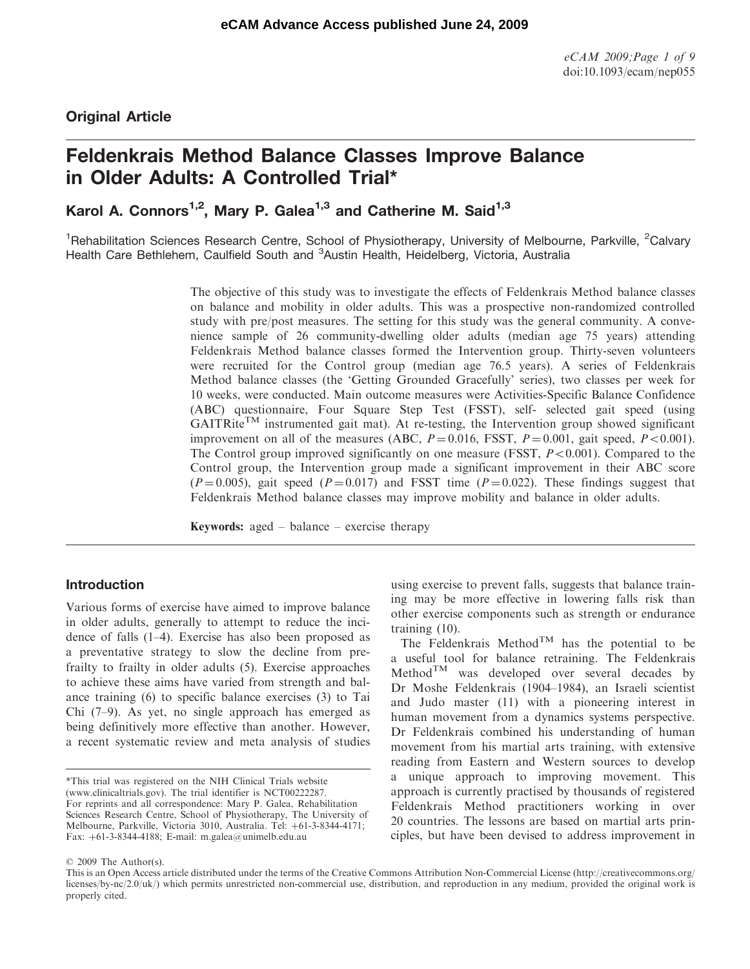# Original Article

# Feldenkrais Method Balance Classes Improve Balance in Older Adults: A Controlled Trial\*

Karol A. Connors<sup>1,2</sup>, Mary P. Galea<sup>1,3</sup> and Catherine M. Said<sup>1,3</sup>

<sup>1</sup>Rehabilitation Sciences Research Centre, School of Physiotherapy, University of Melbourne, Parkville, <sup>2</sup>Calvary Health Care Bethlehem, Caulfield South and <sup>3</sup>Austin Health, Heidelberg, Victoria, Australia

> The objective of this study was to investigate the effects of Feldenkrais Method balance classes on balance and mobility in older adults. This was a prospective non-randomized controlled study with pre/post measures. The setting for this study was the general community. A convenience sample of 26 community-dwelling older adults (median age 75 years) attending Feldenkrais Method balance classes formed the Intervention group. Thirty-seven volunteers were recruited for the Control group (median age 76.5 years). A series of Feldenkrais Method balance classes (the 'Getting Grounded Gracefully' series), two classes per week for 10 weeks, were conducted. Main outcome measures were Activities-Specific Balance Confidence (ABC) questionnaire, Four Square Step Test (FSST), self- selected gait speed (using  $GAITRite<sup>TM</sup>$  instrumented gait mat). At re-testing, the Intervention group showed significant improvement on all of the measures (ABC,  $P = 0.016$ , FSST,  $P = 0.001$ , gait speed,  $P < 0.001$ ). The Control group improved significantly on one measure (FSST,  $P < 0.001$ ). Compared to the Control group, the Intervention group made a significant improvement in their ABC score  $(P=0.005)$ , gait speed  $(P=0.017)$  and FSST time  $(P=0.022)$ . These findings suggest that Feldenkrais Method balance classes may improve mobility and balance in older adults.

Keywords: aged – balance – exercise therapy

# Introduction

Various forms of exercise have aimed to improve balance in older adults, generally to attempt to reduce the incidence of falls (1–4). Exercise has also been proposed as a preventative strategy to slow the decline from prefrailty to frailty in older adults (5). Exercise approaches to achieve these aims have varied from strength and balance training (6) to specific balance exercises (3) to Tai Chi (7–9). As yet, no single approach has emerged as being definitively more effective than another. However, a recent systematic review and meta analysis of studies

\*This trial was registered on the NIH Clinical Trials website (www.clinicaltrials.gov). The trial identifier is NCT00222287. For reprints and all correspondence: Mary P. Galea, Rehabilitation Sciences Research Centre, School of Physiotherapy, The University of Melbourne, Parkville, Victoria 3010, Australia. Tel: +61-3-8344-4171; Fax: þ61-3-8344-4188; E-mail: m.galea@unimelb.edu.au

using exercise to prevent falls, suggests that balance training may be more effective in lowering falls risk than other exercise components such as strength or endurance training (10).

The Feldenkrais Method<sup>TM</sup> has the potential to be a useful tool for balance retraining. The Feldenkrais  $Method^{TM}$  was developed over several decades by Dr Moshe Feldenkrais (1904–1984), an Israeli scientist and Judo master (11) with a pioneering interest in human movement from a dynamics systems perspective. Dr Feldenkrais combined his understanding of human movement from his martial arts training, with extensive reading from Eastern and Western sources to develop a unique approach to improving movement. This approach is currently practised by thousands of registered Feldenkrais Method practitioners working in over 20 countries. The lessons are based on martial arts principles, but have been devised to address improvement in

#### 2009 The Author(s).

This is an Open Access article distributed under the terms of the Creative Commons Attribution Non-Commercial License (<http://creativecommons.org/> licenses/by-nc/2.0/uk/) which permits unrestricted non-commercial use, distribution, and reproduction in any medium, provided the original work is properly cited.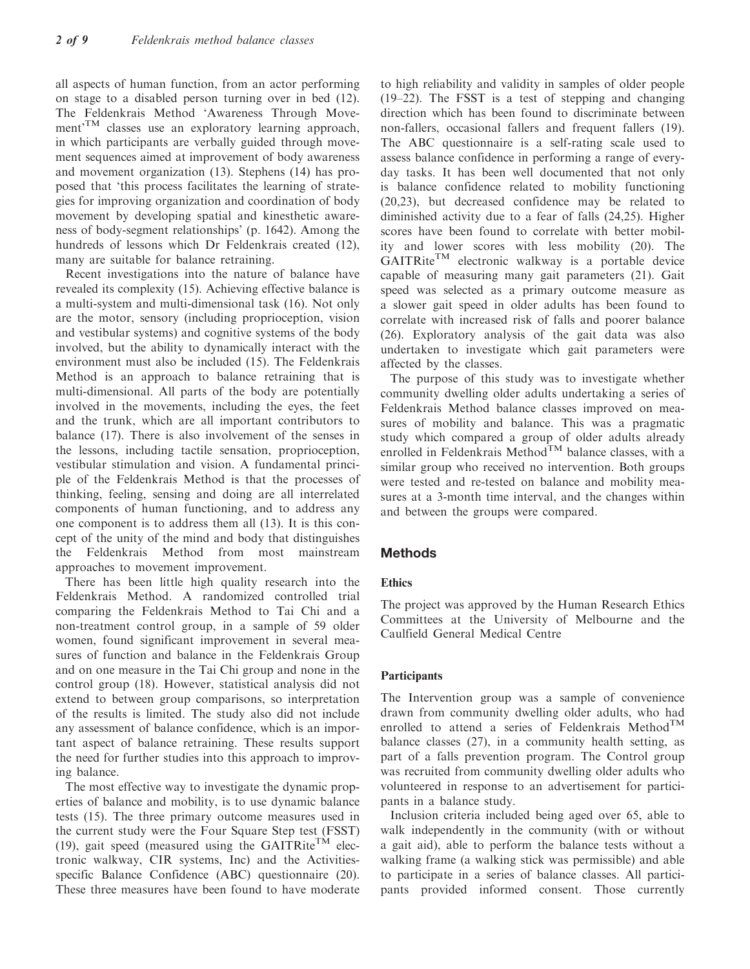all aspects of human function, from an actor performing on stage to a disabled person turning over in bed (12). The Feldenkrais Method 'Awareness Through Movement<sup>'TM</sup> classes use an exploratory learning approach, in which participants are verbally guided through movement sequences aimed at improvement of body awareness and movement organization (13). Stephens (14) has proposed that 'this process facilitates the learning of strategies for improving organization and coordination of body movement by developing spatial and kinesthetic awareness of body-segment relationships' (p. 1642). Among the hundreds of lessons which Dr Feldenkrais created (12), many are suitable for balance retraining.

Recent investigations into the nature of balance have revealed its complexity (15). Achieving effective balance is a multi-system and multi-dimensional task (16). Not only are the motor, sensory (including proprioception, vision and vestibular systems) and cognitive systems of the body involved, but the ability to dynamically interact with the environment must also be included (15). The Feldenkrais Method is an approach to balance retraining that is multi-dimensional. All parts of the body are potentially involved in the movements, including the eyes, the feet and the trunk, which are all important contributors to balance (17). There is also involvement of the senses in the lessons, including tactile sensation, proprioception, vestibular stimulation and vision. A fundamental principle of the Feldenkrais Method is that the processes of thinking, feeling, sensing and doing are all interrelated components of human functioning, and to address any one component is to address them all (13). It is this concept of the unity of the mind and body that distinguishes the Feldenkrais Method from most mainstream approaches to movement improvement.

There has been little high quality research into the Feldenkrais Method. A randomized controlled trial comparing the Feldenkrais Method to Tai Chi and a non-treatment control group, in a sample of 59 older women, found significant improvement in several measures of function and balance in the Feldenkrais Group and on one measure in the Tai Chi group and none in the control group (18). However, statistical analysis did not extend to between group comparisons, so interpretation of the results is limited. The study also did not include any assessment of balance confidence, which is an important aspect of balance retraining. These results support the need for further studies into this approach to improving balance.

The most effective way to investigate the dynamic properties of balance and mobility, is to use dynamic balance tests (15). The three primary outcome measures used in the current study were the Four Square Step test (FSST) (19), gait speed (measured using the GAITRite<sup>TM</sup> electronic walkway, CIR systems, Inc) and the Activitiesspecific Balance Confidence (ABC) questionnaire (20). These three measures have been found to have moderate to high reliability and validity in samples of older people (19–22). The FSST is a test of stepping and changing direction which has been found to discriminate between non-fallers, occasional fallers and frequent fallers (19). The ABC questionnaire is a self-rating scale used to assess balance confidence in performing a range of everyday tasks. It has been well documented that not only is balance confidence related to mobility functioning (20,23), but decreased confidence may be related to diminished activity due to a fear of falls (24,25). Higher scores have been found to correlate with better mobility and lower scores with less mobility (20). The  $GAITRite^{TM}$  electronic walkway is a portable device capable of measuring many gait parameters (21). Gait speed was selected as a primary outcome measure as a slower gait speed in older adults has been found to correlate with increased risk of falls and poorer balance (26). Exploratory analysis of the gait data was also undertaken to investigate which gait parameters were affected by the classes.

The purpose of this study was to investigate whether community dwelling older adults undertaking a series of Feldenkrais Method balance classes improved on measures of mobility and balance. This was a pragmatic study which compared a group of older adults already enrolled in Feldenkrais Method<sup>TM</sup> balance classes, with a similar group who received no intervention. Both groups were tested and re-tested on balance and mobility measures at a 3-month time interval, and the changes within and between the groups were compared.

# Methods

# Ethics

The project was approved by the Human Research Ethics Committees at the University of Melbourne and the Caulfield General Medical Centre

# Participants

The Intervention group was a sample of convenience drawn from community dwelling older adults, who had enrolled to attend a series of Feldenkrais Method<sup>TM</sup> balance classes (27), in a community health setting, as part of a falls prevention program. The Control group was recruited from community dwelling older adults who volunteered in response to an advertisement for participants in a balance study.

Inclusion criteria included being aged over 65, able to walk independently in the community (with or without a gait aid), able to perform the balance tests without a walking frame (a walking stick was permissible) and able to participate in a series of balance classes. All participants provided informed consent. Those currently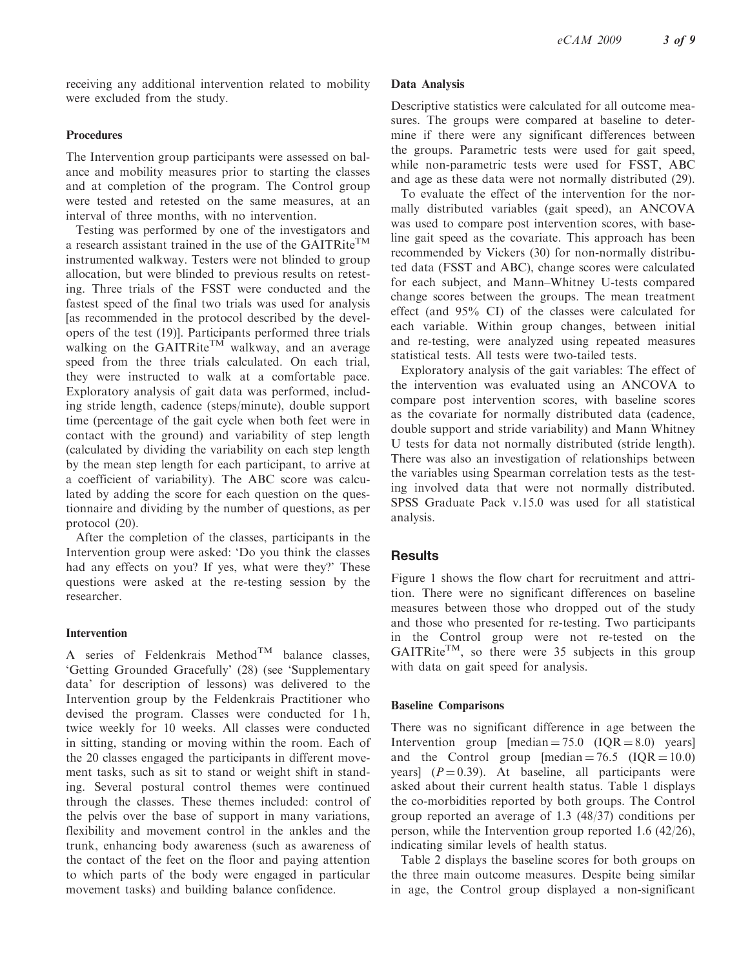receiving any additional intervention related to mobility were excluded from the study.

# Procedures

The Intervention group participants were assessed on balance and mobility measures prior to starting the classes and at completion of the program. The Control group were tested and retested on the same measures, at an interval of three months, with no intervention.

Testing was performed by one of the investigators and a research assistant trained in the use of the GAITRite<sup>TM</sup> instrumented walkway. Testers were not blinded to group allocation, but were blinded to previous results on retesting. Three trials of the FSST were conducted and the fastest speed of the final two trials was used for analysis [as recommended in the protocol described by the developers of the test (19)]. Participants performed three trials walking on the GAITRite<sup>TM</sup> walkway, and an average speed from the three trials calculated. On each trial, they were instructed to walk at a comfortable pace. Exploratory analysis of gait data was performed, including stride length, cadence (steps/minute), double support time (percentage of the gait cycle when both feet were in contact with the ground) and variability of step length (calculated by dividing the variability on each step length by the mean step length for each participant, to arrive at a coefficient of variability). The ABC score was calculated by adding the score for each question on the questionnaire and dividing by the number of questions, as per protocol (20).

After the completion of the classes, participants in the Intervention group were asked: 'Do you think the classes had any effects on you? If yes, what were they?' These questions were asked at the re-testing session by the researcher.

# Intervention

A series of Feldenkrais Method<sup>TM</sup> balance classes, 'Getting Grounded Gracefully' (28) (see 'Supplementary data' for description of lessons) was delivered to the Intervention group by the Feldenkrais Practitioner who devised the program. Classes were conducted for 1 h, twice weekly for 10 weeks. All classes were conducted in sitting, standing or moving within the room. Each of the 20 classes engaged the participants in different movement tasks, such as sit to stand or weight shift in standing. Several postural control themes were continued through the classes. These themes included: control of the pelvis over the base of support in many variations, flexibility and movement control in the ankles and the trunk, enhancing body awareness (such as awareness of the contact of the feet on the floor and paying attention to which parts of the body were engaged in particular movement tasks) and building balance confidence.

# Data Analysis

Descriptive statistics were calculated for all outcome measures. The groups were compared at baseline to determine if there were any significant differences between the groups. Parametric tests were used for gait speed, while non-parametric tests were used for FSST, ABC and age as these data were not normally distributed (29).

To evaluate the effect of the intervention for the normally distributed variables (gait speed), an ANCOVA was used to compare post intervention scores, with baseline gait speed as the covariate. This approach has been recommended by Vickers (30) for non-normally distributed data (FSST and ABC), change scores were calculated for each subject, and Mann–Whitney U-tests compared change scores between the groups. The mean treatment effect (and 95% CI) of the classes were calculated for each variable. Within group changes, between initial and re-testing, were analyzed using repeated measures statistical tests. All tests were two-tailed tests.

Exploratory analysis of the gait variables: The effect of the intervention was evaluated using an ANCOVA to compare post intervention scores, with baseline scores as the covariate for normally distributed data (cadence, double support and stride variability) and Mann Whitney U tests for data not normally distributed (stride length). There was also an investigation of relationships between the variables using Spearman correlation tests as the testing involved data that were not normally distributed. SPSS Graduate Pack v.15.0 was used for all statistical analysis.

# **Results**

Figure 1 shows the flow chart for recruitment and attrition. There were no significant differences on baseline measures between those who dropped out of the study and those who presented for re-testing. Two participants in the Control group were not re-tested on the  $GAITRite<sup>TM</sup>$ , so there were 35 subjects in this group with data on gait speed for analysis.

# Baseline Comparisons

There was no significant difference in age between the Intervention group  $[median = 75.0 (IQR = 8.0) \text{ years}]$ and the Control group  $[median = 76.5 \t(IQR = 10.0)]$ years]  $(P=0.39)$ . At baseline, all participants were asked about their current health status. Table 1 displays the co-morbidities reported by both groups. The Control group reported an average of 1.3 (48/37) conditions per person, while the Intervention group reported 1.6 (42/26), indicating similar levels of health status.

Table 2 displays the baseline scores for both groups on the three main outcome measures. Despite being similar in age, the Control group displayed a non-significant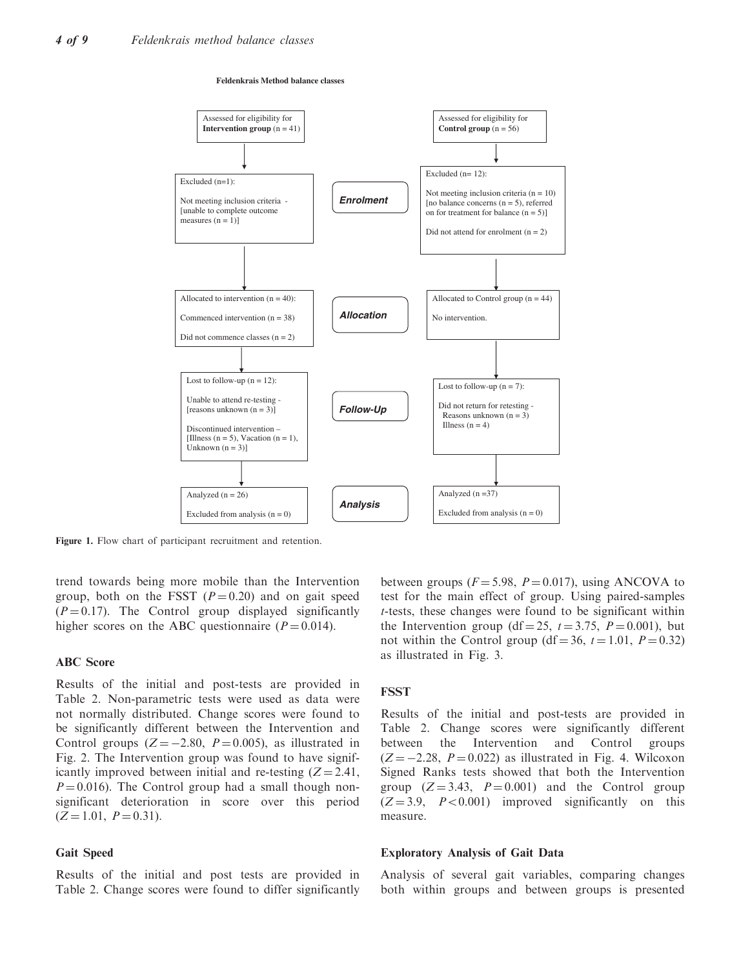#### **Feldenkrais Method balance classes**



Figure 1. Flow chart of participant recruitment and retention.

trend towards being more mobile than the Intervention group, both on the FSST  $(P = 0.20)$  and on gait speed  $(P = 0.17)$ . The Control group displayed significantly higher scores on the ABC questionnaire ( $P = 0.014$ ).

# ABC Score

Results of the initial and post-tests are provided in Table 2. Non-parametric tests were used as data were not normally distributed. Change scores were found to be significantly different between the Intervention and Control groups  $(Z = -2.80, P = 0.005)$ , as illustrated in Fig. 2. The Intervention group was found to have significantly improved between initial and re-testing  $(Z = 2.41$ ,  $P = 0.016$ ). The Control group had a small though nonsignificant deterioration in score over this period  $(Z = 1.01, P = 0.31).$ 

#### Gait Speed

Results of the initial and post tests are provided in Table 2. Change scores were found to differ significantly

between groups ( $F = 5.98$ ,  $P = 0.017$ ), using ANCOVA to test for the main effect of group. Using paired-samples t-tests, these changes were found to be significant within the Intervention group (df = 25,  $t = 3.75$ ,  $P = 0.001$ ), but not within the Control group (df = 36,  $t = 1.01$ ,  $P = 0.32$ ) as illustrated in Fig. 3.

#### **FSST**

Results of the initial and post-tests are provided in Table 2. Change scores were significantly different between the Intervention and Control groups  $(Z = -2.28, P = 0.022)$  as illustrated in Fig. 4. Wilcoxon Signed Ranks tests showed that both the Intervention group  $(Z = 3.43, P = 0.001)$  and the Control group  $(Z = 3.9, P < 0.001)$  improved significantly on this measure.

#### Exploratory Analysis of Gait Data

Analysis of several gait variables, comparing changes both within groups and between groups is presented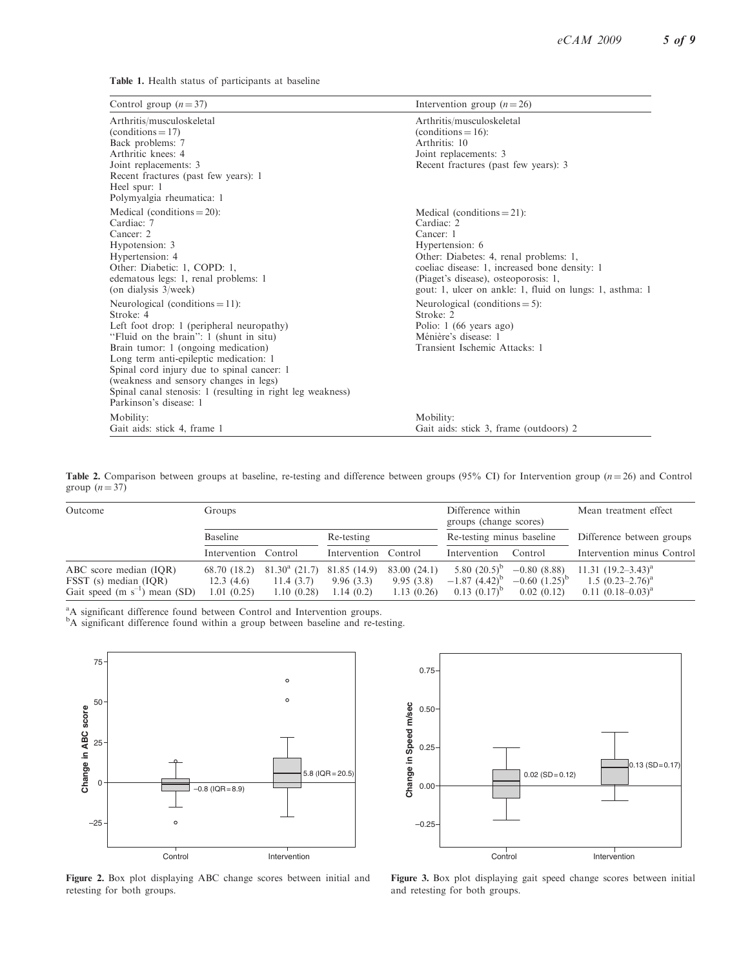Table 1. Health status of participants at baseline

| Control group $(n=37)$                                                                                                                                                                                                                                                                                                                                                                                   | Intervention group $(n=26)$                                                                                                                                                                                                                                                |
|----------------------------------------------------------------------------------------------------------------------------------------------------------------------------------------------------------------------------------------------------------------------------------------------------------------------------------------------------------------------------------------------------------|----------------------------------------------------------------------------------------------------------------------------------------------------------------------------------------------------------------------------------------------------------------------------|
| Arthritis/musculoskeletal<br>$(conditions = 17)$<br>Back problems: 7<br>Arthritic knees: 4<br>Joint replacements: 3<br>Recent fractures (past few years): 1<br>Heel spur: 1<br>Polymyalgia rheumatica: 1                                                                                                                                                                                                 | Arthritis/musculoskeletal<br>$(conditions = 16)$ :<br>Arthritis: 10<br>Joint replacements: 3<br>Recent fractures (past few years): 3                                                                                                                                       |
| Medical (conditions $= 20$ ):<br>Cardiac: 7<br>Cancer: 2<br>Hypotension: 3<br>Hypertension: 4<br>Other: Diabetic: 1, COPD: 1,<br>edematous legs: 1, renal problems: 1<br>(on dialysis 3/week)                                                                                                                                                                                                            | Medical (conditions $= 21$ ):<br>Cardiac: 2<br>Cancer: 1<br>Hypertension: 6<br>Other: Diabetes: 4, renal problems: 1,<br>coeliac disease: 1, increased bone density: 1<br>(Piaget's disease), osteoporosis: 1,<br>gout: 1, ulcer on ankle: 1, fluid on lungs: 1, asthma: 1 |
| Neurological (conditions $= 11$ ):<br>Stroke: 4<br>Left foot drop: 1 (peripheral neuropathy)<br>"Fluid on the brain": 1 (shunt in situ)<br>Brain tumor: 1 (ongoing medication)<br>Long term anti-epileptic medication: 1<br>Spinal cord injury due to spinal cancer: 1<br>(weakness and sensory changes in legs)<br>Spinal canal stenosis: 1 (resulting in right leg weakness)<br>Parkinson's disease: 1 | Neurological (conditions $= 5$ ):<br>Stroke: 2<br>Polio: $1(66 \text{ years ago})$<br>Ménière's disease: 1<br>Transient Ischemic Attacks: 1                                                                                                                                |
| Mobility:<br>Gait aids: stick 4, frame 1                                                                                                                                                                                                                                                                                                                                                                 | Mobility:<br>Gait aids: stick 3, frame (outdoors) 2                                                                                                                                                                                                                        |

Table 2. Comparison between groups at baseline, re-testing and difference between groups (95% CI) for Intervention group ( $n = 26$ ) and Control group  $(n = 37)$ 

| Outcome                                                                               | Groups                                  |                                                   |                                        |                                         | Difference within<br>groups (change scores)                |                                                         | Mean treatment effect                                                        |  |
|---------------------------------------------------------------------------------------|-----------------------------------------|---------------------------------------------------|----------------------------------------|-----------------------------------------|------------------------------------------------------------|---------------------------------------------------------|------------------------------------------------------------------------------|--|
|                                                                                       | Baseline                                |                                                   | Re-testing                             |                                         | Re-testing minus baseline                                  |                                                         | Difference between groups                                                    |  |
|                                                                                       | Intervention Control                    |                                                   | Intervention Control                   |                                         | Intervention                                               | Control                                                 | Intervention minus Control                                                   |  |
| ABC score median (IQR)<br>FSST (s) median (IQR)<br>Gait speed (m $s^{-1}$ ) mean (SD) | 68.70 (18.2)<br>12.3(4.6)<br>1.01(0.25) | $81.30^{\rm a}$ (21.7)<br>11.4(3.7)<br>1.10(0.28) | 81.85 (14.9)<br>9.96(3.3)<br>1.14(0.2) | 83.00 (24.1)<br>9.95(3.8)<br>1.13(0.26) | 5.80 $(20.5)^{b}$<br>$-1.87(4.42)^{o}$<br>$0.13(0.17)^{p}$ | $-0.80(8.88)$<br>$-0.60$ $(1.25)^{\circ}$<br>0.02(0.12) | 11.31 $(19.2-3.43)^{a}$<br>1.5 $(0.23 - 2.76)^a$<br>$0.11 (0.18 - 0.03)^{a}$ |  |

<sup>a</sup>A significant difference found between Control and Intervention groups.<br><sup>b</sup>A significant difference found within a group between baseline and re-testing.



Figure 2. Box plot displaying ABC change scores between initial and retesting for both groups.



Figure 3. Box plot displaying gait speed change scores between initial and retesting for both groups.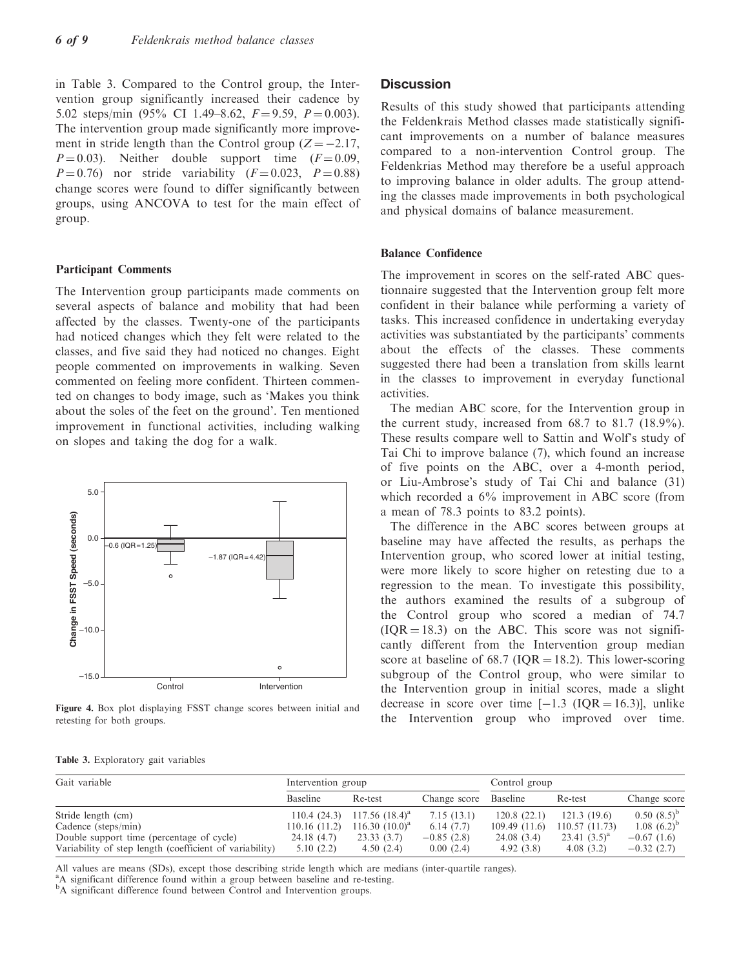in Table 3. Compared to the Control group, the Intervention group significantly increased their cadence by 5.02 steps/min (95% CI 1.49–8.62,  $F = 9.59$ ,  $P = 0.003$ ). The intervention group made significantly more improvement in stride length than the Control group  $(Z = -2.17$ ,  $P = 0.03$ ). Neither double support time  $(F = 0.09,$  $P = 0.76$ ) nor stride variability  $(F = 0.023, P = 0.88)$ change scores were found to differ significantly between groups, using ANCOVA to test for the main effect of group.

#### Participant Comments

The Intervention group participants made comments on several aspects of balance and mobility that had been affected by the classes. Twenty-one of the participants had noticed changes which they felt were related to the classes, and five said they had noticed no changes. Eight people commented on improvements in walking. Seven commented on feeling more confident. Thirteen commented on changes to body image, such as 'Makes you think about the soles of the feet on the ground'. Ten mentioned improvement in functional activities, including walking on slopes and taking the dog for a walk.



Figure 4. Box plot displaying FSST change scores between initial and retesting for both groups.

|  |  | Table 3. Exploratory gait variables |  |  |
|--|--|-------------------------------------|--|--|
|--|--|-------------------------------------|--|--|

# **Discussion**

Results of this study showed that participants attending the Feldenkrais Method classes made statistically significant improvements on a number of balance measures compared to a non-intervention Control group. The Feldenkrias Method may therefore be a useful approach to improving balance in older adults. The group attending the classes made improvements in both psychological and physical domains of balance measurement.

# Balance Confidence

The improvement in scores on the self-rated ABC questionnaire suggested that the Intervention group felt more confident in their balance while performing a variety of tasks. This increased confidence in undertaking everyday activities was substantiated by the participants' comments about the effects of the classes. These comments suggested there had been a translation from skills learnt in the classes to improvement in everyday functional activities.

The median ABC score, for the Intervention group in the current study, increased from 68.7 to 81.7 (18.9%). These results compare well to Sattin and Wolf's study of Tai Chi to improve balance (7), which found an increase of five points on the ABC, over a 4-month period, or Liu-Ambrose's study of Tai Chi and balance (31) which recorded a 6% improvement in ABC score (from a mean of 78.3 points to 83.2 points).

The difference in the ABC scores between groups at baseline may have affected the results, as perhaps the Intervention group, who scored lower at initial testing, were more likely to score higher on retesting due to a regression to the mean. To investigate this possibility, the authors examined the results of a subgroup of the Control group who scored a median of 74.7  $(IOR = 18.3)$  on the ABC. This score was not significantly different from the Intervention group median score at baseline of 68.7 ( $IQR = 18.2$ ). This lower-scoring subgroup of the Control group, who were similar to the Intervention group in initial scores, made a slight decrease in score over time  $[-1.3 \text{ (IQR} = 16.3)]$ , unlike the Intervention group who improved over time.

| Gait variable                                           | Intervention group |                     |              | Control group |                 |                 |
|---------------------------------------------------------|--------------------|---------------------|--------------|---------------|-----------------|-----------------|
|                                                         | <b>Baseline</b>    | Re-test             | Change score | Baseline      | Re-test         | Change score    |
| Stride length (cm)                                      | 110.4(24.3)        | $117.56$ $(18.4)^a$ | 7.15(13.1)   | 120.8(22.1)   | 121.3(19.6)     | $0.50(8.5)^{b}$ |
| Cadence (steps/min)                                     | 110.16(11.2)       | $116.30 (10.0)^a$   | 6.14(7.7)    | 109.49(11.6)  | 110.57(11.73)   | $1.08(6.2)^{b}$ |
| Double support time (percentage of cycle)               | 24.18(4.7)         | 23.33(3.7)          | $-0.85(2.8)$ | 24.08(3.4)    | 23.41 $(3.5)^a$ | $-0.67(1.6)$    |
| Variability of step length (coefficient of variability) | 5.10(2.2)          | 4.50(2.4)           | 0.00(2.4)    | 4.92(3.8)     | 4.08(3.2)       | $-0.32(2.7)$    |

All values are means (SDs), except those describing stride length which are medians (inter-quartile ranges).

<sup>a</sup>A significant difference found within a group between baseline and re-testing.

<sup>b</sup>A significant difference found between Control and Intervention groups.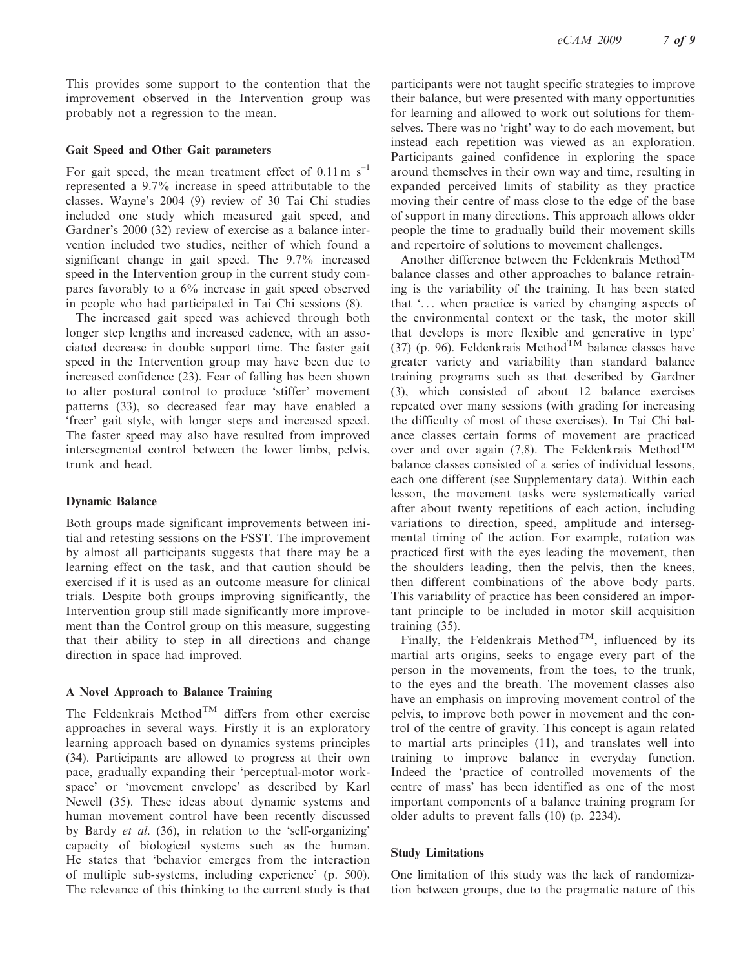This provides some support to the contention that the improvement observed in the Intervention group was probably not a regression to the mean.

## Gait Speed and Other Gait parameters

For gait speed, the mean treatment effect of  $0.11 \text{ m s}^{-1}$ represented a 9.7% increase in speed attributable to the classes. Wayne's 2004 (9) review of 30 Tai Chi studies included one study which measured gait speed, and Gardner's 2000 (32) review of exercise as a balance intervention included two studies, neither of which found a significant change in gait speed. The 9.7% increased speed in the Intervention group in the current study compares favorably to a 6% increase in gait speed observed in people who had participated in Tai Chi sessions (8).

The increased gait speed was achieved through both longer step lengths and increased cadence, with an associated decrease in double support time. The faster gait speed in the Intervention group may have been due to increased confidence (23). Fear of falling has been shown to alter postural control to produce 'stiffer' movement patterns (33), so decreased fear may have enabled a 'freer' gait style, with longer steps and increased speed. The faster speed may also have resulted from improved intersegmental control between the lower limbs, pelvis, trunk and head.

#### Dynamic Balance

Both groups made significant improvements between initial and retesting sessions on the FSST. The improvement by almost all participants suggests that there may be a learning effect on the task, and that caution should be exercised if it is used as an outcome measure for clinical trials. Despite both groups improving significantly, the Intervention group still made significantly more improvement than the Control group on this measure, suggesting that their ability to step in all directions and change direction in space had improved.

# A Novel Approach to Balance Training

The Feldenkrais Method<sup>TM</sup> differs from other exercise approaches in several ways. Firstly it is an exploratory learning approach based on dynamics systems principles (34). Participants are allowed to progress at their own pace, gradually expanding their 'perceptual-motor workspace' or 'movement envelope' as described by Karl Newell (35). These ideas about dynamic systems and human movement control have been recently discussed by Bardy et al. (36), in relation to the 'self-organizing' capacity of biological systems such as the human. He states that 'behavior emerges from the interaction of multiple sub-systems, including experience' (p. 500). The relevance of this thinking to the current study is that participants were not taught specific strategies to improve their balance, but were presented with many opportunities for learning and allowed to work out solutions for themselves. There was no 'right' way to do each movement, but instead each repetition was viewed as an exploration. Participants gained confidence in exploring the space around themselves in their own way and time, resulting in expanded perceived limits of stability as they practice moving their centre of mass close to the edge of the base of support in many directions. This approach allows older people the time to gradually build their movement skills and repertoire of solutions to movement challenges.

Another difference between the Feldenkrais Method<sup>TM</sup> balance classes and other approaches to balance retraining is the variability of the training. It has been stated that '... when practice is varied by changing aspects of the environmental context or the task, the motor skill that develops is more flexible and generative in type' (37) (p. 96). Feldenkrais Method<sup>TM</sup> balance classes have greater variety and variability than standard balance training programs such as that described by Gardner (3), which consisted of about 12 balance exercises repeated over many sessions (with grading for increasing the difficulty of most of these exercises). In Tai Chi balance classes certain forms of movement are practiced over and over again (7,8). The Feldenkrais Method<sup>TM</sup> balance classes consisted of a series of individual lessons, each one different (see Supplementary data). Within each lesson, the movement tasks were systematically varied after about twenty repetitions of each action, including variations to direction, speed, amplitude and intersegmental timing of the action. For example, rotation was practiced first with the eyes leading the movement, then the shoulders leading, then the pelvis, then the knees, then different combinations of the above body parts. This variability of practice has been considered an important principle to be included in motor skill acquisition training (35).

Finally, the Feldenkrais Method<sup>TM</sup>, influenced by its martial arts origins, seeks to engage every part of the person in the movements, from the toes, to the trunk, to the eyes and the breath. The movement classes also have an emphasis on improving movement control of the pelvis, to improve both power in movement and the control of the centre of gravity. This concept is again related to martial arts principles (11), and translates well into training to improve balance in everyday function. Indeed the 'practice of controlled movements of the centre of mass' has been identified as one of the most important components of a balance training program for older adults to prevent falls (10) (p. 2234).

#### Study Limitations

One limitation of this study was the lack of randomization between groups, due to the pragmatic nature of this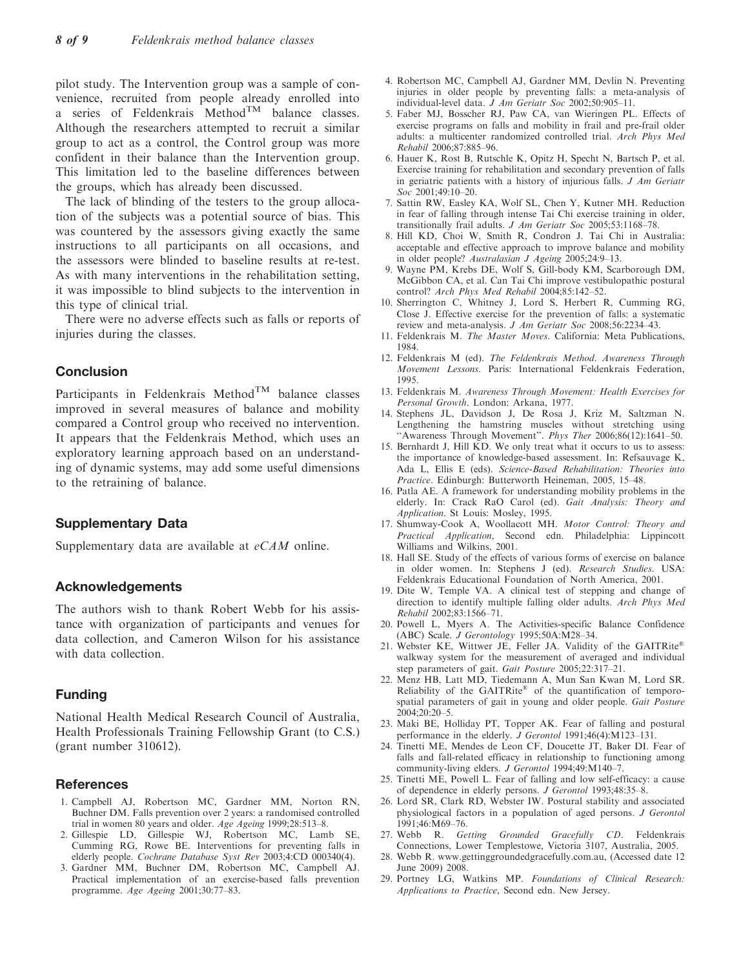pilot study. The Intervention group was a sample of convenience, recruited from people already enrolled into a series of Feldenkrais Method<sup>TM</sup> balance classes. Although the researchers attempted to recruit a similar group to act as a control, the Control group was more confident in their balance than the Intervention group. This limitation led to the baseline differences between the groups, which has already been discussed.

The lack of blinding of the testers to the group allocation of the subjects was a potential source of bias. This was countered by the assessors giving exactly the same instructions to all participants on all occasions, and the assessors were blinded to baseline results at re-test. As with many interventions in the rehabilitation setting, it was impossible to blind subjects to the intervention in this type of clinical trial.

There were no adverse effects such as falls or reports of injuries during the classes.

# Conclusion

Participants in Feldenkrais Method<sup>TM</sup> balance classes improved in several measures of balance and mobility compared a Control group who received no intervention. It appears that the Feldenkrais Method, which uses an exploratory learning approach based on an understanding of dynamic systems, may add some useful dimensions to the retraining of balance.

# Supplementary Data

Supplementary data are available at  $eCAM$  online.

# Acknowledgements

The authors wish to thank Robert Webb for his assistance with organization of participants and venues for data collection, and Cameron Wilson for his assistance with data collection.

# Funding

National Health Medical Research Council of Australia, Health Professionals Training Fellowship Grant (to C.S.) (grant number 310612).

# **References**

- 1. Campbell AJ, Robertson MC, Gardner MM, Norton RN, Buchner DM. Falls prevention over 2 years: a randomised controlled trial in women 80 years and older. Age Ageing 1999;28:513–8.
- 2. Gillespie LD, Gillespie WJ, Robertson MC, Lamb SE, Cumming RG, Rowe BE. Interventions for preventing falls in elderly people. Cochrane Database Syst Rev 2003;4:CD 000340(4).
- 3. Gardner MM, Buchner DM, Robertson MC, Campbell AJ. Practical implementation of an exercise-based falls prevention programme. Age Ageing 2001;30:77–83.
- 4. Robertson MC, Campbell AJ, Gardner MM, Devlin N. Preventing injuries in older people by preventing falls: a meta-analysis of individual-level data. J Am Geriatr Soc 2002;50:905–11.
- 5. Faber MJ, Bosscher RJ, Paw CA, van Wieringen PL. Effects of exercise programs on falls and mobility in frail and pre-frail older adults: a multicenter randomized controlled trial. Arch Phys Med Rehabil 2006;87:885–96.
- 6. Hauer K, Rost B, Rutschle K, Opitz H, Specht N, Bartsch P, et al. Exercise training for rehabilitation and secondary prevention of falls in geriatric patients with a history of injurious falls. J Am Geriatr Soc<sup>2001;49:10-20</sup>.
- 7. Sattin RW, Easley KA, Wolf SL, Chen Y, Kutner MH. Reduction in fear of falling through intense Tai Chi exercise training in older, transitionally frail adults. *J Am Geriatr Soc* 2005;53:1168-78.
- 8. Hill KD, Choi W, Smith R, Condron J. Tai Chi in Australia: acceptable and effective approach to improve balance and mobility in older people? Australasian J Ageing  $2005;24:9-13$ .
- 9. Wayne PM, Krebs DE, Wolf S, Gill-body KM, Scarborough DM, McGibbon CA, et al. Can Tai Chi improve vestibulopathic postural control? Arch Phys Med Rehabil 2004;85:142-52.
- 10. Sherrington C, Whitney J, Lord S, Herbert R, Cumming RG, Close J. Effective exercise for the prevention of falls: a systematic review and meta-analysis. J Am Geriatr Soc 2008;56:2234–43.
- 11. Feldenkrais M. The Master Moves. California: Meta Publications, 1984.
- 12. Feldenkrais M (ed). The Feldenkrais Method. Awareness Through Movement Lessons. Paris: International Feldenkrais Federation, 1995.
- 13. Feldenkrais M. Awareness Through Movement: Health Exercises for Personal Growth. London: Arkana, 1977.
- 14. Stephens JL, Davidson J, De Rosa J, Kriz M, Saltzman N. Lengthening the hamstring muscles without stretching using "Awareness Through Movement". Phys Ther 2006;86(12):1641-50.
- 15. Bernhardt J, Hill KD. We only treat what it occurs to us to assess: the importance of knowledge-based assessment. In: Refsauvage K, Ada L, Ellis E (eds). Science-Based Rehabilitation: Theories into Practice. Edinburgh: Butterworth Heineman, 2005, 15–48.
- 16. Patla AE. A framework for understanding mobility problems in the elderly. In: Crack RaO Carol (ed). Gait Analysis: Theory and Application. St Louis: Mosley, 1995.
- 17. Shumway-Cook A, Woollacott MH. Motor Control: Theory and Practical Application, Second edn. Philadelphia: Lippincott Williams and Wilkins, 2001.
- 18. Hall SE. Study of the effects of various forms of exercise on balance in older women. In: Stephens J (ed). Research Studies. USA: Feldenkrais Educational Foundation of North America, 2001.
- 19. Dite W, Temple VA. A clinical test of stepping and change of direction to identify multiple falling older adults. Arch Phys Med Rehabil 2002;83:1566–71.
- 20. Powell L, Myers A. The Activities-specific Balance Confidence (ABC) Scale. J Gerontology 1995;50A:M28-34.
- 21. Webster KE, Wittwer JE, Feller JA. Validity of the GAITRite® walkway system for the measurement of averaged and individual step parameters of gait. Gait Posture 2005;22:317–21.
- 22. Menz HB, Latt MD, Tiedemann A, Mun San Kwan M, Lord SR. Reliability of the GAITRite® of the quantification of temporospatial parameters of gait in young and older people. Gait Posture 2004;20:20–5.
- 23. Maki BE, Holliday PT, Topper AK. Fear of falling and postural performance in the elderly. *J Gerontol* 1991;46(4):M123-131.
- 24. Tinetti ME, Mendes de Leon CF, Doucette JT, Baker DI. Fear of falls and fall-related efficacy in relationship to functioning among community-living elders. J Gerontol 1994;49:M140-7.
- 25. Tinetti ME, Powell L. Fear of falling and low self-efficacy: a cause of dependence in elderly persons. J Gerontol 1993;48:35–8.
- 26. Lord SR, Clark RD, Webster IW. Postural stability and associated physiological factors in a population of aged persons. J Gerontol 1991;46:M69–76.
- 27. Webb R. Getting Grounded Gracefully CD. Feldenkrais Connections, Lower Templestowe, Victoria 3107, Australia, 2005.
- 28. Webb R. www.gettinggroundedgracefully.com.au, (Accessed date 12 June 2009) 2008.
- 29. Portney LG, Watkins MP. Foundations of Clinical Research: Applications to Practice, Second edn. New Jersey.